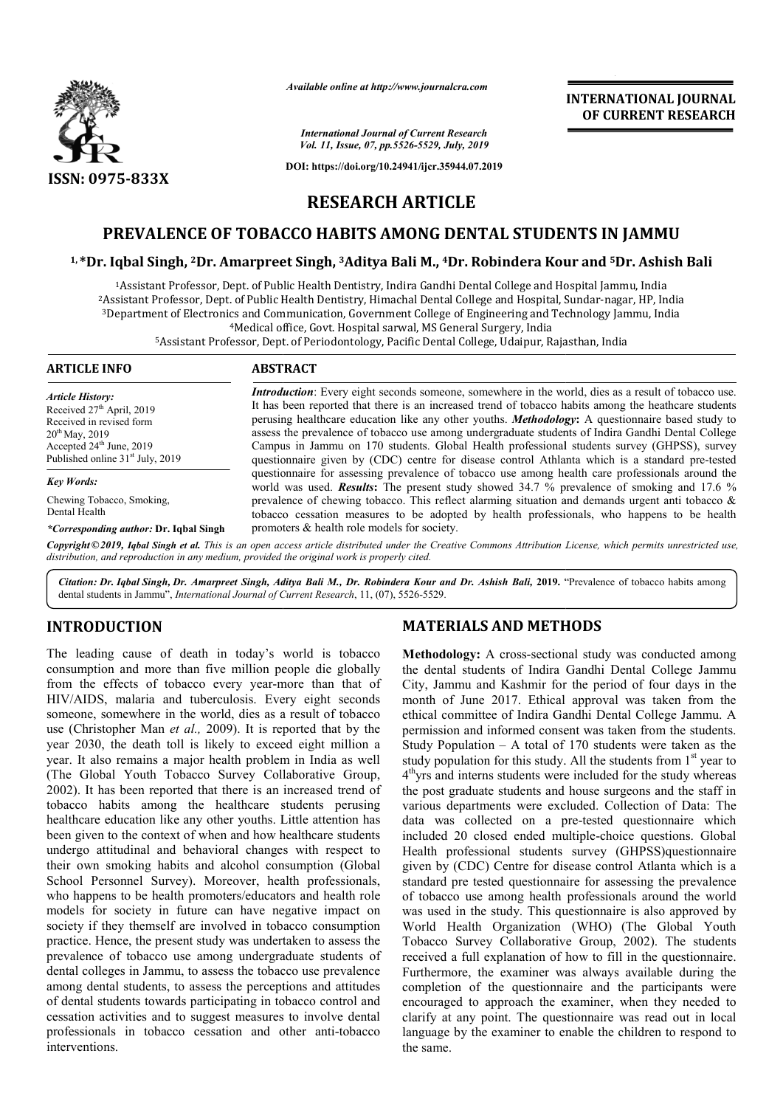

*Available online at http://www.journalcra.com*

*International Journal of Current Research Vol. 11, Issue, 07, pp.5526-5529, July, 2019*

**DOI: https://doi.org/10.24941/ijcr.35944.07.2019**

# **INTERNATIONAL JOURNAL OF CURRENT RESEARCH**

**RESEARCH ARTICLE**

# **PREVALENCE OF TOBACCO HABITS AMONG DENTAL STUDENTS IN JAMMU**

### **1, \*Dr. Iqbal Singh, 2Dr. Amarpreet Singh, Dr. 3Aditya Bali M., 4Dr. Robindera Kour and 5Dr. Ashish Bali**

<sup>1</sup>Assistant Professor, Dept. of Public Health Dentistry, Indira Gandhi Dental College and Hospital Jammu, India<br>Assistant Professor, Dept. of Public Health Dentistry, Himachal Dental College and Hospital, Sundar-nagar, HP  $3$ Department of Electronics and Communication, Government College of Engineering and Technology Jammu, India of Public Health Dentistry, Indira Gandhi Dental College and Hospital Jammu, India

<sup>4</sup>Medical office, Govt. Hospital sarwal, MS General Surgery, India

<sup>5</sup>Assistant Professor, Dept. of Periodontology, Pacific Dental College, Udaipur, Rajasthan, India

| <b>ARTICLE INFO</b>                                                                                                                                                                     | <b>ABSTRACT</b>                                                                                                                                                                                                                                                                                                                                                                                                                                                                                                                                                                                                                       |
|-----------------------------------------------------------------------------------------------------------------------------------------------------------------------------------------|---------------------------------------------------------------------------------------------------------------------------------------------------------------------------------------------------------------------------------------------------------------------------------------------------------------------------------------------------------------------------------------------------------------------------------------------------------------------------------------------------------------------------------------------------------------------------------------------------------------------------------------|
| <b>Article History:</b><br>Received $27th$ April, 2019<br>Received in revised form<br>$20^{th}$ May, 2019<br>Accepted $24th$ June, 2019<br>Published online 31 <sup>st</sup> July, 2019 | <b>Introduction</b> : Every eight seconds someone, somewhere in the world, dies as a result of tobacco use.<br>It has been reported that there is an increased trend of tobacco habits among the heathcare students<br>perusing healthcare education like any other youths. <b>Methodology:</b> A questionnaire based study to<br>assess the prevalence of tobacco use among undergraduate students of Indira Gandhi Dental College<br>Campus in Jammu on 170 students. Global Health professional students survey (GHPSS), survey<br>questionnaire given by (CDC) centre for disease control Athlanta which is a standard pre-tested |
| <b>Key Words:</b>                                                                                                                                                                       | questionnaire for assessing prevalence of tobacco use among health care professionals around the<br>world was used. <b>Results:</b> The present study showed 34.7 % prevalence of smoking and 17.6 %                                                                                                                                                                                                                                                                                                                                                                                                                                  |
| Chewing Tobacco, Smoking,<br>Dental Health                                                                                                                                              | prevalence of chewing tobacco. This reflect alarming situation and demands urgent anti-tobacco $\&$<br>tobacco cessation measures to be adopted by health professionals, who happens to be health                                                                                                                                                                                                                                                                                                                                                                                                                                     |
| *Corresponding author: Dr. Iqbal Singh                                                                                                                                                  | promoters & health role models for society.                                                                                                                                                                                                                                                                                                                                                                                                                                                                                                                                                                                           |
|                                                                                                                                                                                         | Conveight@2010, Jakal Singh at al. This is an onen access article distributed under the Creative Commons Attribution License, which permits unrestricted use                                                                                                                                                                                                                                                                                                                                                                                                                                                                          |

Copyright©2019, Iqbal Singh et al. This is an open access article distributed under the Creative Commons Attribution License, which permits unrestricted use, *distribution, and reproduction in any medium, provided the original work is properly cited.*

Citation: Dr. Iqbal Singh, Dr. Amarpreet Singh, Aditya Bali M., Dr. Robindera Kour and Dr. Ashish Bali, 2019. "Prevalence of tobacco habits among dental students in Jammu", *International Journal of Current Research* , 11, (07), 5526-5529.

## **INTRODUCTION**

The leading cause of death in today's world is tobacco consumption and more than five million people die globally from the effects of tobacco every year-more than that of HIV/AIDS, malaria and tuberculosis. Every eight seconds someone, somewhere in the world, dies as a result of tobacco use (Christopher Man *et al.,* 2009). It is reported that by the year 2030, the death toll is likely to exceed eight million a year. It also remains a major health problem in India as well (The Global Youth Tobacco Survey Collaborative Group, 2002). It has been reported that there is an increased trend of tobacco habits among the healthcare students perusing healthcare education like any other youths. Little attention has been given to the context of when and how healthcare students undergo attitudinal and behavioral changes with respect to their own smoking habits and alcohol consumption (Global School Personnel Survey). Moreover, health professionals, who happens to be health promoters/educators and health role models for society in future can have negative impact on society if they themself are involved in tobacco consumption practice. Hence, the present study was undertaken to assess the prevalence of tobacco use among undergraduate students of dental colleges in Jammu, to assess the tobacco use prevalence among dental students, to assess the perceptions and attitudes of dental students towards participating in tobacco control and cessation activities and to suggest measures to involve dental professionals in tobacco cessation and other anti-tobacco interventions. f tobacco every year-more than that of<br>  $\mu$  and tuberculosis. Every eight seconds<br>
re in the world, dies as a result of tobacco<br>
an *et al.*, 2009). It is reported that by the<br>
th toll is likely to exceed eight million a

## **MATERIALS AND METHODS METHODS**

**Methodology:** A cross-sectional study was conducted among the dental students of Indira Gandhi Dental College Jammu City, Jammu and Kashmir for the period of four days in the month of June 2017. Ethical approval was taken from the ethical committee of Indira Gandhi Dental College Jammu. A permission and informed consent was taken from the students. Study Population – A total of 170 students were taken as the study population for this study. All the students from  $1<sup>st</sup>$  year to 4<sup>th</sup>yrs and interns students were included for the study whereas the post graduate students and house surgeons and the staff in various departments were excluded. Collection of Data: The data was collected on a pre-tested questionnaire which included 20 closed ended multiple-choice questions. Global Health professional students survey (GHPSS)questionnaire given by (CDC) Centre for disease control Atlanta which is a standard pre tested questionnaire for assessing the prevalence standard pre tested questionnaire for assessing the prevalence<br>of tobacco use among health professionals around the world was used in the study. This questionnaire is also approved by was used in the study. This questionnaire is also approved by World Health Organization (WHO) (The Global Youth Tobacco Survey Collaborative Group, 2002). The students received a full explanation of how to fill in the questionnaire. Furthermore, the examiner was always available during the completion of the questionnaire and the participants were encouraged to approach the examiner, when they needed to clarify at any point. The questionnaire was read out in local language by the examiner to enable the children to respond to the same. **odology:** A cross-sectional study was conducted among ental students of Indira Gandhi Dental College Jammu and Kashmir for the period of four days in the 1 of June 2017. Ethical approval was taken from the 1 committee of **EXAMPERIMM CONGERER (CONGERER AND ACTIVE CONGERER AND CONGERER (CONGERER AND SALIF (2003) (ACTIVE 2003) ARTICLE CONGERE AND SALIF (2003) ARTICLE CONGERE AND DONGER CONGERE AND SALIF (2003) ARTICLE (CONGERE AND CONGERE AN**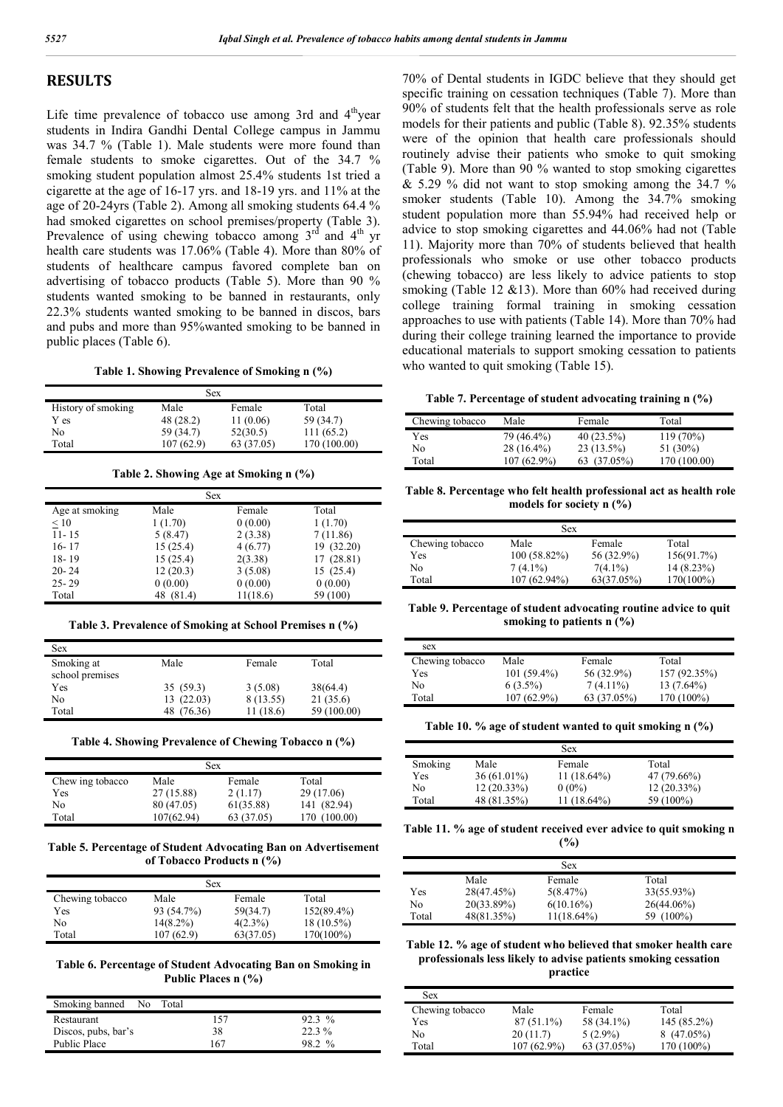# **RESULTS**

Life time prevalence of tobacco use among 3rd and  $4<sup>th</sup>$ year students in Indira Gandhi Dental College campus in Jammu was 34.7 % (Table 1). Male students were more found than female students to smoke cigarettes. Out of the 34.7 % smoking student population almost 25.4% students 1st tried a cigarette at the age of 16-17 yrs. and 18-19 yrs. and 11% at the age of 20-24yrs (Table 2). Among all smoking students 64.4 % had smoked cigarettes on school premises/property (Table 3). Prevalence of using chewing tobacco among  $3<sup>rd</sup>$  and  $4<sup>th</sup>$  yr health care students was 17.06% (Table 4). More than 80% of students of healthcare campus favored complete ban on advertising of tobacco products (Table 5). More than 90 % students wanted smoking to be banned in restaurants, only 22.3% students wanted smoking to be banned in discos, bars and pubs and more than 95%wanted smoking to be banned in public places (Table 6).

**Table 1. Showing Prevalence of Smoking n (%)**

|                    | Sex       |            |              |
|--------------------|-----------|------------|--------------|
| History of smoking | Male      | Female     | Total        |
| Y es               | 48 (28.2) | 11(0.06)   | 59 (34.7)    |
| No                 | 59 (34.7) | 52(30.5)   | 111(65.2)    |
| Total              | 107(62.9) | 63 (37.05) | 170 (100.00) |

**Table 2. Showing Age at Smoking n (%)**

| <b>Sex</b>     |           |          |            |  |
|----------------|-----------|----------|------------|--|
| Age at smoking | Male      | Female   | Total      |  |
| $\leq 10$      | 1(1.70)   | 0(0.00)  | 1(1.70)    |  |
| $11 - 15$      | 5(8.47)   | 2(3.38)  | 7 (11.86)  |  |
| $16 - 17$      | 15(25.4)  | 4(6.77)  | 19 (32.20) |  |
| $18 - 19$      | 15(25.4)  | 2(3.38)  | 17 (28.81) |  |
| $20 - 24$      | 12(20.3)  | 3(5.08)  | 15(25.4)   |  |
| $25 - 29$      | 0(0.00)   | 0(0.00)  | 0(0.00)    |  |
| Total          | 48 (81.4) | 11(18.6) | 59 (100)   |  |

**Table 3. Prevalence of Smoking at School Premises n (%)**

| Sex                           |            |           |             |  |
|-------------------------------|------------|-----------|-------------|--|
| Smoking at<br>school premises | Male       | Female    | Total       |  |
| Yes                           | 35(59.3)   | 3(5.08)   | 38(64.4)    |  |
| No                            | 13(22.03)  | 8 (13.55) | 21(35.6)    |  |
| Total                         | 48 (76.36) | 11(18.6)  | 59 (100.00) |  |

**Table 4. Showing Prevalence of Chewing Tobacco n (%)**

|                  |            | <b>Sex</b> |              |
|------------------|------------|------------|--------------|
| Chew ing tobacco | Male       | Female     | Total        |
| Yes              | 27 (15.88) | 2(1.17)    | 29 (17.06)   |
| No               | 80 (47.05) | 61(35.88)  | 141 (82.94)  |
| Total            | 107(62.94) | 63 (37.05) | 170 (100.00) |

**Table 5. Percentage of Student Advocating Ban on Advertisement of Tobacco Products n (%)**

|                 | <b>Sex</b>  |            |               |
|-----------------|-------------|------------|---------------|
| Chewing tobacco | Male        | Female     | Total         |
| Yes             | 93 (54.7%)  | 59(34.7)   | $152(89.4\%)$ |
| No              | $14(8.2\%)$ | $4(2.3\%)$ | $18(10.5\%)$  |
| Total           | 107 (62.9)  | 63(37.05)  | 170(100%)     |

**Table 6. Percentage of Student Advocating Ban on Smoking in Public Places n (%)**

| Smoking banned No Total |     |          |
|-------------------------|-----|----------|
| Restaurant              | 157 | $92.3\%$ |
| Discos, pubs, bar's     | 38  | 22.3 %   |
| Public Place            | 167 | 98 2 %   |

70% of Dental students in IGDC believe that they should get specific training on cessation techniques (Table 7). More than 90% of students felt that the health professionals serve as role models for their patients and public (Table 8). 92.35% students were of the opinion that health care professionals should routinely advise their patients who smoke to quit smoking (Table 9). More than 90 % wanted to stop smoking cigarettes  $& 5.29 \%$  did not want to stop smoking among the 34.7 % smoker students (Table 10). Among the 34.7% smoking student population more than 55.94% had received help or advice to stop smoking cigarettes and 44.06% had not (Table 11). Majority more than 70% of students believed that health professionals who smoke or use other tobacco products (chewing tobacco) are less likely to advice patients to stop smoking (Table 12 &13). More than 60% had received during college training formal training in smoking cessation approaches to use with patients (Table 14). More than 70% had during their college training learned the importance to provide educational materials to support smoking cessation to patients who wanted to quit smoking (Table 15).

**Table 7. Percentage of student advocating training n (%)**

| Chewing tobacco | Male          | Female       | Total        |
|-----------------|---------------|--------------|--------------|
| Yes             | 79 (46.4%)    | $40(23.5\%)$ | $119(70\%)$  |
| No.             | $28(16.4\%)$  | $23(13.5\%)$ | 51 (30%)     |
| Total           | $107(62.9\%)$ | 63 (37.05%)  | 170 (100.00) |

**Table 8. Percentage who felt health professional act as health role models for society n (%)**

| Sex.            |              |            |              |  |
|-----------------|--------------|------------|--------------|--|
| Chewing tobacco | Male         | Female     | Total        |  |
| Yes             | 100 (58.82%) | 56 (32.9%) | 156(91.7%)   |  |
| No              | $7(4.1\%)$   | $7(4.1\%)$ | $14(8.23\%)$ |  |
| Total           | 107 (62.94%) | 63(37.05%) | 170(100%)    |  |

**Table 9. Percentage of student advocating routine advice to quit smoking to patients n (%)**

| sex             |               |             |              |
|-----------------|---------------|-------------|--------------|
| Chewing tobacco | Male          | Female      | Total        |
| Yes             | $101(59.4\%)$ | 56 (32.9%)  | 157 (92.35%) |
| No              | $6(3.5\%)$    | $7(4.11\%)$ | $13(7.64\%)$ |
| Total           | $107(62.9\%)$ | 63 (37.05%) | 170 (100%)   |

**Table 10. % age of student wanted to quit smoking n (%)**

|         |               | <b>Sex</b>    |               |
|---------|---------------|---------------|---------------|
| Smoking | Male          | Female        | Total         |
| Yes     | $36(61.01\%)$ | $11(18.64\%)$ | 47 (79.66%)   |
| No      | $12(20.33\%)$ | $0(0\%)$      | $12(20.33\%)$ |
| Total   | 48 (81.35%)   | $11(18.64\%)$ | 59 (100%)     |

**Table 11. % age of student received ever advice to quit smoking n (%)**

|       |            | <b>1701</b>   |            |
|-------|------------|---------------|------------|
|       |            | <b>Sex</b>    |            |
|       | Male       | Female        | Total      |
| Yes   | 28(47.45%) | 5(8.47%)      | 33(55.93%) |
| No    | 20(33.89%) | $6(10.16\%)$  | 26(44.06%) |
| Total | 48(81.35%) | $11(18.64\%)$ | 59 (100%)  |
|       |            |               |            |

### **Table 12. % age of student who believed that smoker health care professionals less likely to advise patients smoking cessation practice**

| Sex             |               |             |             |
|-----------------|---------------|-------------|-------------|
| Chewing tobacco | Male          | Female      | Total       |
| Yes             | $87(51.1\%)$  | 58 (34.1%)  | 145 (85.2%) |
| No              | 20(11.7)      | $5(2.9\%)$  | 8(47.05%)   |
| Total           | $107(62.9\%)$ | 63 (37.05%) | 170 (100%)  |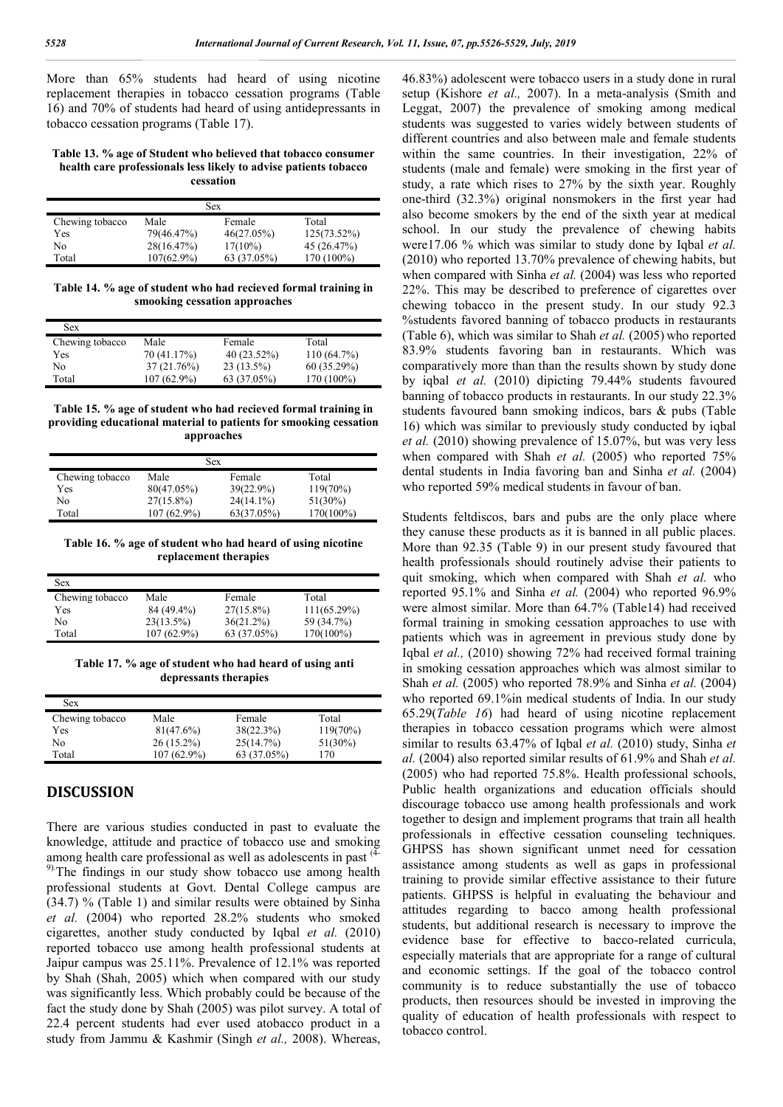More than 65% students had heard of using nicotine replacement therapies in tobacco cessation programs (Table 16) and 70% of students had heard of using antidepressants in tobacco cessation programs (Table 17).

#### **Table 13. % age of Student who believed that tobacco consumer health care professionals less likely to advise patients tobacco cessation**

| Sex             |               |             |                |  |
|-----------------|---------------|-------------|----------------|--|
| Chewing tobacco | Male          | Female      | Total          |  |
| Yes             | 79(46.47%)    | 46(27.05%)  | $125(73.52\%)$ |  |
| No              | 28(16.47%)    | $17(10\%)$  | 45 (26.47%)    |  |
| Total           | $107(62.9\%)$ | 63 (37.05%) | 170 (100%)     |  |

**Table 14. % age of student who had recieved formal training in smooking cessation approaches**

| Sex             |             |               |            |
|-----------------|-------------|---------------|------------|
| Chewing tobacco | Male        | Female        | Total      |
| Yes             | 70 (41.17%) | $40(23.52\%)$ | 110(64.7%) |
| No              | 37 (21.76%) | $23(13.5\%)$  | 60(35.29%) |
| Total           | 107 (62.9%) | 63 (37.05%)   | 170 (100%) |

**Table 15. % age of student who had recieved formal training in providing educational material to patients for smooking cessation approaches**

| Sex             |              |              |             |  |
|-----------------|--------------|--------------|-------------|--|
| Chewing tobacco | Male         | Female       | Total       |  |
| Yes             | 80(47.05%)   | $39(22.9\%)$ | $119(70\%)$ |  |
| No              | $27(15.8\%)$ | $24(14.1\%)$ | $51(30\%)$  |  |
| Total           | 107 (62.9%)  | 63(37.05%)   | 170(100%)   |  |

**Table 16. % age of student who had heard of using nicotine replacement therapies**

| Sex             |               |              |                |
|-----------------|---------------|--------------|----------------|
| Chewing tobacco | Male          | Female       | Total          |
| Yes             | 84 (49.4%)    | $27(15.8\%)$ | $111(65.29\%)$ |
| No              | $23(13.5\%)$  | 36(21.2%)    | 59 (34.7%)     |
| Total           | $107(62.9\%)$ | 63 (37.05%)  | $170(100\%)$   |

**Table 17. % age of student who had heard of using anti depressants therapies**

| Sex             |               |             |             |
|-----------------|---------------|-------------|-------------|
| Chewing tobacco | Male          | Female      | Total       |
| Yes             | 81(47.6%)     | 38(22.3%)   | $119(70\%)$ |
| No              | $26(15.2\%)$  | 25(14.7%)   | $51(30\%)$  |
| Total           | $107(62.9\%)$ | 63 (37.05%) | 170         |

## **DISCUSSION**

There are various studies conducted in past to evaluate the knowledge, attitude and practice of tobacco use and smoking among health care professional as well as adolescents in past <sup>(4-</sup> <sup>9)</sup>. The findings in our study show tobacco use among health professional students at Govt. Dental College campus are (34.7) % (Table 1) and similar results were obtained by Sinha *et al.* (2004) who reported 28.2% students who smoked cigarettes, another study conducted by Iqbal *et al.* (2010) reported tobacco use among health professional students at Jaipur campus was 25.11%. Prevalence of 12.1% was reported by Shah (Shah, 2005) which when compared with our study was significantly less. Which probably could be because of the fact the study done by Shah (2005) was pilot survey. A total of 22.4 percent students had ever used atobacco product in a study from Jammu & Kashmir (Singh *et al.,* 2008). Whereas,

46.83%) adolescent were tobacco users in a study done in rural setup (Kishore *et al.,* 2007). In a meta-analysis (Smith and Leggat, 2007) the prevalence of smoking among medical students was suggested to varies widely between students of different countries and also between male and female students within the same countries. In their investigation, 22% of students (male and female) were smoking in the first year of study, a rate which rises to 27% by the sixth year. Roughly one-third (32.3%) original nonsmokers in the first year had also become smokers by the end of the sixth year at medical school. In our study the prevalence of chewing habits were17.06 % which was similar to study done by Iqbal *et al.* (2010) who reported 13.70% prevalence of chewing habits, but when compared with Sinha *et al.* (2004) was less who reported 22%. This may be described to preference of cigarettes over chewing tobacco in the present study. In our study 92.3 %students favored banning of tobacco products in restaurants (Table 6), which was similar to Shah *et al.* (2005) who reported 83.9% students favoring ban in restaurants. Which was comparatively more than than the results shown by study done by iqbal *et al.* (2010) dipicting 79.44% students favoured banning of tobacco products in restaurants. In our study 22.3% students favoured bann smoking indicos, bars & pubs (Table 16) which was similar to previously study conducted by iqbal *et al.* (2010) showing prevalence of 15.07%, but was very less when compared with Shah *et al.* (2005) who reported 75% dental students in India favoring ban and Sinha *et al.* (2004) who reported 59% medical students in favour of ban.

Students feltdiscos, bars and pubs are the only place where they canuse these products as it is banned in all public places. More than 92.35 (Table 9) in our present study favoured that health professionals should routinely advise their patients to quit smoking, which when compared with Shah *et al.* who reported 95.1% and Sinha *et al.* (2004) who reported 96.9% were almost similar. More than 64.7% (Table14) had received formal training in smoking cessation approaches to use with patients which was in agreement in previous study done by Iqbal *et al.,* (2010) showing 72% had received formal training in smoking cessation approaches which was almost similar to Shah *et al.* (2005) who reported 78.9% and Sinha *et al.* (2004) who reported 69.1%in medical students of India. In our study 65.29(*Table 16*) had heard of using nicotine replacement therapies in tobacco cessation programs which were almost similar to results 63.47% of Iqbal *et al.* (2010) study, Sinha *et al.* (2004) also reported similar results of 61.9% and Shah *et al.*  (2005) who had reported 75.8%. Health professional schools, Public health organizations and education officials should discourage tobacco use among health professionals and work together to design and implement programs that train all health professionals in effective cessation counseling techniques. GHPSS has shown significant unmet need for cessation assistance among students as well as gaps in professional training to provide similar effective assistance to their future patients. GHPSS is helpful in evaluating the behaviour and attitudes regarding to bacco among health professional students, but additional research is necessary to improve the evidence base for effective to bacco-related curricula, especially materials that are appropriate for a range of cultural and economic settings. If the goal of the tobacco control community is to reduce substantially the use of tobacco products, then resources should be invested in improving the quality of education of health professionals with respect to tobacco control.